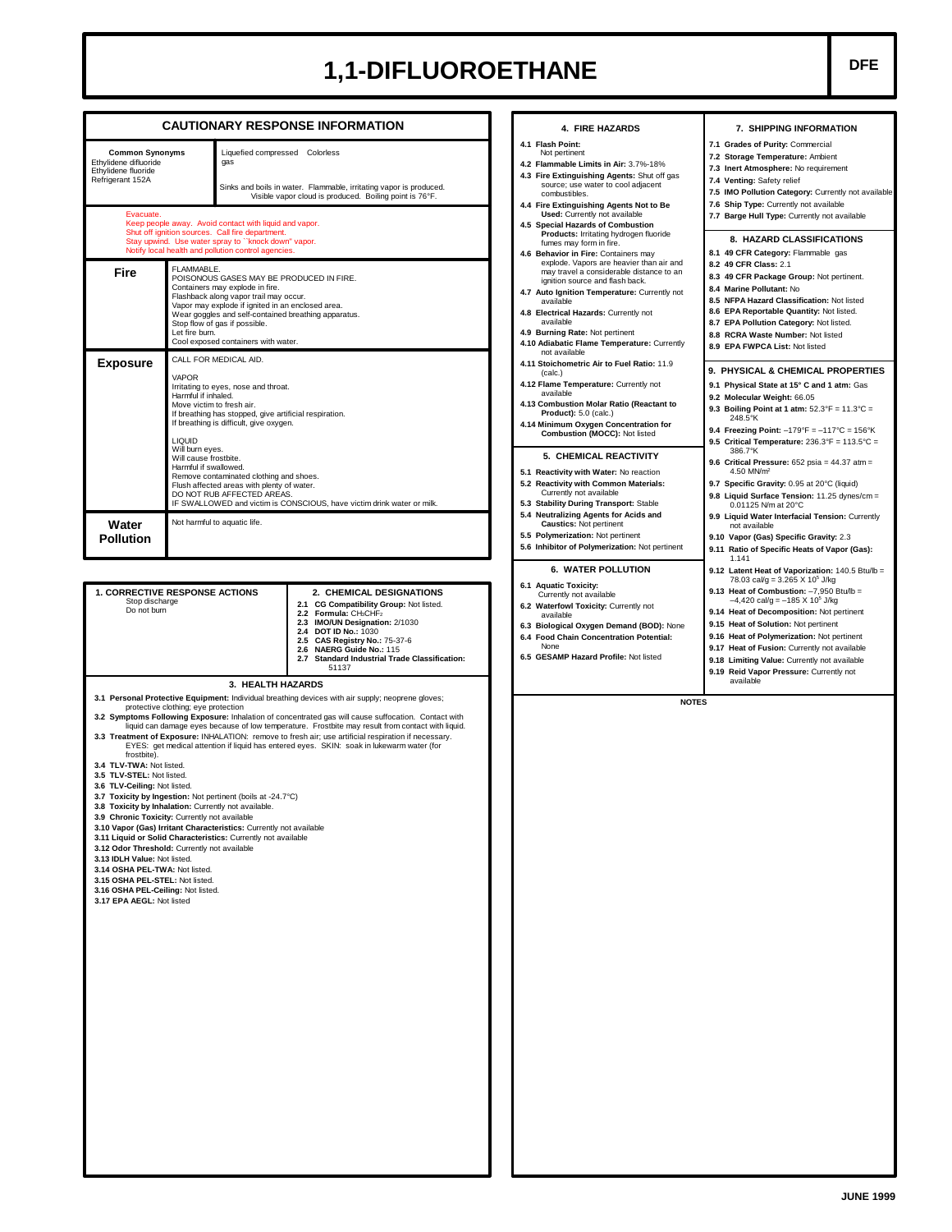## 1,1-DIFLUOROETHANE **DFE**

|                                                                                                                                                                                                                                                                                                                                                                                                                                                                  |                                                                                                                                                                                                                                                                                                                                                                                                                                                                                                                                                               |                                                                                                                                                                                                                         | <b>CAUTIONARY RESPONSE INFORMATION</b>                                                                                                                                                                                                                                                                                                                                                                                                                                                                                                                                                                                                                                                                                                                                                                              |  | 4. FIRE HAZARDS                                                                                                                                                                                                                                                                                                                                                                                                                                                                                                     | 7. SHIPPING INFORMATION                                                                                                                                                                                                                                                                                                                                                                                                                                                                                                                                                                                                                                                                                                                                                                                                                                                                                                       |  |  |
|------------------------------------------------------------------------------------------------------------------------------------------------------------------------------------------------------------------------------------------------------------------------------------------------------------------------------------------------------------------------------------------------------------------------------------------------------------------|---------------------------------------------------------------------------------------------------------------------------------------------------------------------------------------------------------------------------------------------------------------------------------------------------------------------------------------------------------------------------------------------------------------------------------------------------------------------------------------------------------------------------------------------------------------|-------------------------------------------------------------------------------------------------------------------------------------------------------------------------------------------------------------------------|---------------------------------------------------------------------------------------------------------------------------------------------------------------------------------------------------------------------------------------------------------------------------------------------------------------------------------------------------------------------------------------------------------------------------------------------------------------------------------------------------------------------------------------------------------------------------------------------------------------------------------------------------------------------------------------------------------------------------------------------------------------------------------------------------------------------|--|---------------------------------------------------------------------------------------------------------------------------------------------------------------------------------------------------------------------------------------------------------------------------------------------------------------------------------------------------------------------------------------------------------------------------------------------------------------------------------------------------------------------|-------------------------------------------------------------------------------------------------------------------------------------------------------------------------------------------------------------------------------------------------------------------------------------------------------------------------------------------------------------------------------------------------------------------------------------------------------------------------------------------------------------------------------------------------------------------------------------------------------------------------------------------------------------------------------------------------------------------------------------------------------------------------------------------------------------------------------------------------------------------------------------------------------------------------------|--|--|
| <b>Common Synonyms</b><br>Ethylidene difluoride<br>gas<br>Ethylidene fluoride<br>Refrigerant 152A<br>Evacuate.<br>Keep people away. Avoid contact with liquid and vapor.                                                                                                                                                                                                                                                                                         |                                                                                                                                                                                                                                                                                                                                                                                                                                                                                                                                                               | Shut off ignition sources. Call fire department.                                                                                                                                                                        | Liquefied compressed Colorless<br>Sinks and boils in water. Flammable, irritating vapor is produced.<br>Visible vapor cloud is produced. Boiling point is 76°F.                                                                                                                                                                                                                                                                                                                                                                                                                                                                                                                                                                                                                                                     |  | 4.1 Flash Point:<br>Not pertinent<br>4.2 Flammable Limits in Air: 3.7%-18%<br>4.3 Fire Extinguishing Agents: Shut off gas<br>source; use water to cool adjacent<br>combustibles.<br>4.4 Fire Extinguishing Agents Not to Be<br><b>Used:</b> Currently not available<br>4.5 Special Hazards of Combustion                                                                                                                                                                                                            | 7.1 Grades of Purity: Commercial<br>7.2 Storage Temperature: Ambient<br>7.3 Inert Atmosphere: No requirement<br>7.4 Venting: Safety relief<br>7.5 IMO Pollution Category: Currently not available<br>7.6 Ship Type: Currently not available<br>7.7 Barge Hull Type: Currently not available                                                                                                                                                                                                                                                                                                                                                                                                                                                                                                                                                                                                                                   |  |  |
| Stay upwind. Use water spray to "knock down" vapor.<br>Notify local health and pollution control agencies.<br>FLAMMABLE.<br>Fire<br>POISONOUS GASES MAY BE PRODUCED IN FIRE.<br>Containers may explode in fire.<br>Flashback along vapor trail may occur.<br>Vapor may explode if ignited in an enclosed area.<br>Wear goggles and self-contained breathing apparatus.<br>Stop flow of gas if possible.<br>Let fire burn.<br>Cool exposed containers with water. |                                                                                                                                                                                                                                                                                                                                                                                                                                                                                                                                                               |                                                                                                                                                                                                                         |                                                                                                                                                                                                                                                                                                                                                                                                                                                                                                                                                                                                                                                                                                                                                                                                                     |  | Products: Irritating hydrogen fluoride<br>fumes may form in fire.<br>4.6 Behavior in Fire: Containers may<br>explode. Vapors are heavier than air and<br>may travel a considerable distance to an<br>ignition source and flash back.<br>4.7 Auto Ignition Temperature: Currently not<br>available<br>4.8 Electrical Hazards: Currently not<br>available<br>4.9 Burning Rate: Not pertinent                                                                                                                          | 8. HAZARD CLASSIFICATIONS<br>8.1 49 CFR Category: Flammable gas<br>8.2 49 CFR Class: 2.1<br>8.3 49 CFR Package Group: Not pertinent.<br>8.4 Marine Pollutant: No<br>8.5 NFPA Hazard Classification: Not listed<br>8.6 EPA Reportable Quantity: Not listed.<br>8.7 EPA Pollution Category: Not listed.<br>8.8 RCRA Waste Number: Not listed<br>8.9 EPA FWPCA List: Not listed<br>9. PHYSICAL & CHEMICAL PROPERTIES<br>9.1 Physical State at 15° C and 1 atm: Gas<br>9.2 Molecular Weight: 66.05<br>9.3 Boiling Point at 1 atm: $52.3^{\circ}F = 11.3^{\circ}C =$<br>248.5°K<br>9.4 Freezing Point: $-179^{\circ}F = -117^{\circ}C = 156^{\circ}K$<br>9.5 Critical Temperature: $236.3^{\circ}F = 113.5^{\circ}C =$<br>386.7°K<br>9.6 Critical Pressure: 652 psia = 44.37 atm =<br>4.50 MN/m <sup>2</sup><br>9.7 Specific Gravity: 0.95 at 20°C (liquid)<br>9.8 Liquid Surface Tension: 11.25 dynes/cm =<br>0.01125 N/m at 20°C |  |  |
| <b>Exposure</b>                                                                                                                                                                                                                                                                                                                                                                                                                                                  | CALL FOR MEDICAL AID.<br><b>VAPOR</b><br>Irritating to eyes, nose and throat.<br>Harmful if inhaled.<br>Move victim to fresh air.<br>If breathing has stopped, give artificial respiration.<br>If breathing is difficult, give oxygen.<br><b>LIQUID</b><br>Will burn eyes.<br>Will cause frostbite.<br>Harmful if swallowed.<br>Remove contaminated clothing and shoes.<br>Flush affected areas with plenty of water.<br>DO NOT RUB AFFECTED AREAS.<br>IF SWALLOWED and victim is CONSCIOUS, have victim drink water or milk.<br>Not harmful to aquatic life. |                                                                                                                                                                                                                         |                                                                                                                                                                                                                                                                                                                                                                                                                                                                                                                                                                                                                                                                                                                                                                                                                     |  | 4.10 Adiabatic Flame Temperature: Currently<br>not available<br>4.11 Stoichometric Air to Fuel Ratio: 11.9<br>(calc.)<br>4.12 Flame Temperature: Currently not<br>available<br>4.13 Combustion Molar Ratio (Reactant to<br><b>Product):</b> 5.0 (calc.)<br>4.14 Minimum Oxygen Concentration for<br>Combustion (MOCC): Not listed<br>5. CHEMICAL REACTIVITY<br>5.1 Reactivity with Water: No reaction<br>5.2 Reactivity with Common Materials:<br>Currently not available<br>5.3 Stability During Transport: Stable |                                                                                                                                                                                                                                                                                                                                                                                                                                                                                                                                                                                                                                                                                                                                                                                                                                                                                                                               |  |  |
| Water<br><b>Pollution</b>                                                                                                                                                                                                                                                                                                                                                                                                                                        |                                                                                                                                                                                                                                                                                                                                                                                                                                                                                                                                                               |                                                                                                                                                                                                                         |                                                                                                                                                                                                                                                                                                                                                                                                                                                                                                                                                                                                                                                                                                                                                                                                                     |  | 5.4 Neutralizing Agents for Acids and<br><b>Caustics: Not pertinent</b><br>5.5 Polymerization: Not pertinent<br>5.6 Inhibitor of Polymerization: Not pertinent                                                                                                                                                                                                                                                                                                                                                      | 9.9 Liquid Water Interfacial Tension: Currently<br>not available<br>9.10 Vapor (Gas) Specific Gravity: 2.3<br>9.11 Ratio of Specific Heats of Vapor (Gas):<br>1.141                                                                                                                                                                                                                                                                                                                                                                                                                                                                                                                                                                                                                                                                                                                                                           |  |  |
| <b>1. CORRECTIVE RESPONSE ACTIONS</b><br>Stop discharge<br>Do not burn<br>frostbite).<br>3.4 TLV-TWA: Not listed.<br>3.5 TLV-STEL: Not listed.<br>3.6 TLV-Ceiling: Not listed.<br>3.8 Toxicity by Inhalation: Currently not available.<br>3.9 Chronic Toxicity: Currently not available<br>3.12 Odor Threshold: Currently not available<br>3.13 IDLH Value: Not listed.                                                                                          | protective clothing; eye protection                                                                                                                                                                                                                                                                                                                                                                                                                                                                                                                           | 3. HEALTH HAZARDS<br>3.7 Toxicity by Ingestion: Not pertinent (boils at -24.7°C)<br>3.10 Vapor (Gas) Irritant Characteristics: Currently not available<br>3.11 Liquid or Solid Characteristics: Currently not available | 2. CHEMICAL DESIGNATIONS<br>2.1 CG Compatibility Group: Not listed.<br>2.2 Formula: CH3CHF2<br>2.3 IMO/UN Designation: 2/1030<br><b>DOT ID No.: 1030</b><br>2.4<br>CAS Registry No.: 75-37-6<br>2.5<br>NAERG Guide No.: 115<br>2.6<br>2.7 Standard Industrial Trade Classification:<br>51137<br>3.1 Personal Protective Equipment: Individual breathing devices with air supply; neoprene gloves;<br>3.2 Symptoms Following Exposure: Inhalation of concentrated gas will cause suffocation. Contact with<br>liquid can damage eyes because of low temperature. Frostbite may result from contact with liquid.<br>3.3 Treatment of Exposure: INHALATION: remove to fresh air: use artificial respiration if necessary.<br>EYES: get medical attention if liquid has entered eyes. SKIN: soak in lukewarm water (for |  | 6.1 Aquatic Toxicity:<br>Currently not available<br>6.2 Waterfowl Toxicity: Currently not<br>available<br>6.3 Biological Oxygen Demand (BOD): None<br>6.4 Food Chain Concentration Potential:<br>None<br>6.5 GESAMP Hazard Profile: Not listed<br><b>NOTES</b>                                                                                                                                                                                                                                                      | 78.03 cal/g = $3.265$ X 10 <sup>5</sup> J/kg<br>9.13 Heat of Combustion: -7,950 Btu/lb =<br>$-4,420$ cal/g = $-185$ X 10 <sup>5</sup> J/kg<br>9.14 Heat of Decomposition: Not pertinent<br>9.15 Heat of Solution: Not pertinent<br>9.16 Heat of Polymerization: Not pertinent<br>9.17 Heat of Fusion: Currently not available<br>9.18 Limiting Value: Currently not available<br>9.19 Reid Vapor Pressure: Currently not<br>available                                                                                                                                                                                                                                                                                                                                                                                                                                                                                         |  |  |
| 3.14 OSHA PEL-TWA: Not listed.<br>3.15 OSHA PEL-STEL: Not listed.<br>3.16 OSHA PEL-Ceiling: Not listed.<br>3.17 EPA AEGL: Not listed                                                                                                                                                                                                                                                                                                                             |                                                                                                                                                                                                                                                                                                                                                                                                                                                                                                                                                               |                                                                                                                                                                                                                         |                                                                                                                                                                                                                                                                                                                                                                                                                                                                                                                                                                                                                                                                                                                                                                                                                     |  |                                                                                                                                                                                                                                                                                                                                                                                                                                                                                                                     |                                                                                                                                                                                                                                                                                                                                                                                                                                                                                                                                                                                                                                                                                                                                                                                                                                                                                                                               |  |  |